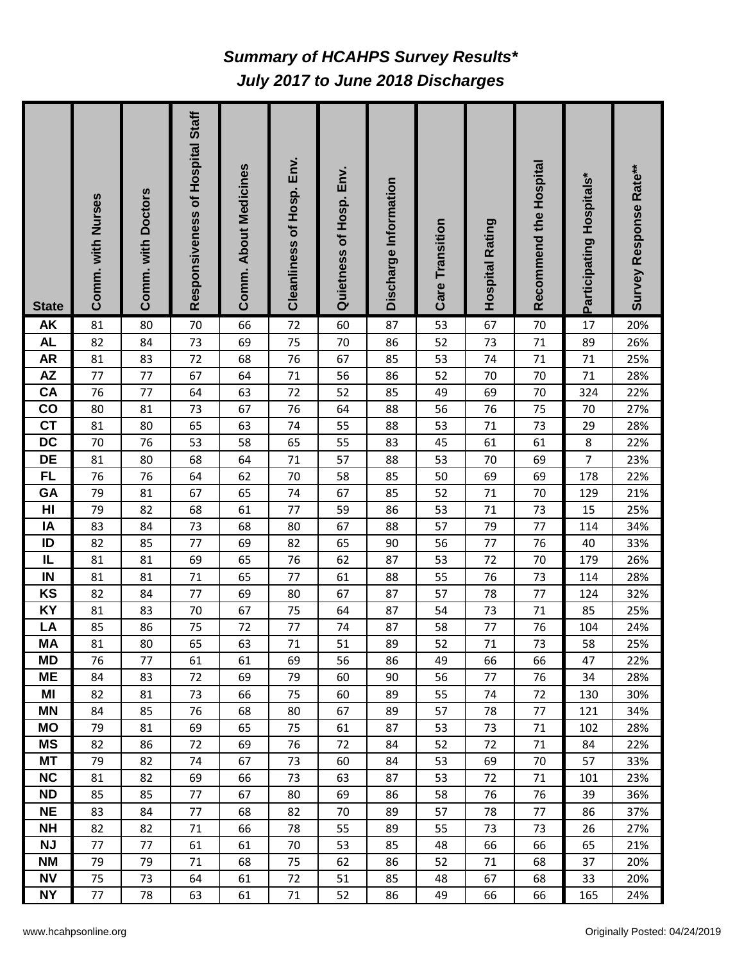## *July 2017 to June 2018 Discharges Summary of HCAHPS Survey Results\**

| <b>State</b>                 | Comm. with Nurses | Comm. with Doctors | Responsiveness of Hospital Staff | <b>Comm. About Medicines</b> | Cleanliness of Hosp. Env. | Quietness of Hosp. Env. | Discharge Information | Care Transition | Hospital Rating | Recommend the Hospital | Participating Hospitals* | Survey Response Rate** |
|------------------------------|-------------------|--------------------|----------------------------------|------------------------------|---------------------------|-------------------------|-----------------------|-----------------|-----------------|------------------------|--------------------------|------------------------|
| <b>AK</b>                    | 81                | 80                 | 70                               | 66                           | 72                        | 60                      | 87                    | 53              | 67              | 70                     | 17                       | 20%                    |
| <b>AL</b>                    | 82                | 84                 | 73                               | 69                           | 75                        | 70                      | 86                    | 52              | 73              | 71                     | 89                       | 26%                    |
| <b>AR</b>                    | 81                | 83                 | 72                               | 68                           | 76                        | 67                      | 85                    | 53              | 74              | 71                     | 71                       | 25%                    |
| $\mathsf{A}\mathsf{Z}$<br>CA | 77<br>76          | 77<br>77           | 67<br>64                         | 64<br>63                     | 71<br>72                  | 56<br>52                | 86<br>85              | 52<br>49        | 70<br>69        | 70<br>70               | 71<br>324                | 28%<br>22%             |
| $\mathbf{CO}$                | 80                | 81                 | 73                               | 67                           | 76                        | 64                      | 88                    | 56              | 76              | 75                     | 70                       | 27%                    |
| $\overline{c}$               | 81                | 80                 | 65                               | 63                           | 74                        | 55                      | 88                    | 53              | 71              | 73                     | 29                       | 28%                    |
| DC                           | 70                | 76                 | 53                               | 58                           | 65                        | 55                      | 83                    | 45              | 61              | 61                     | $\bf 8$                  | 22%                    |
| <b>DE</b>                    | 81                | 80                 | 68                               | 64                           | $71\,$                    | 57                      | 88                    | 53              | 70              | 69                     | $\overline{7}$           | 23%                    |
| <b>FL</b>                    | 76                | 76                 | 64                               | 62                           | 70                        | 58                      | 85                    | 50              | 69              | 69                     | 178                      | 22%                    |
| GA                           | 79                | 81                 | 67                               | 65                           | 74                        | 67                      | 85                    | 52              | 71              | 70                     | 129                      | 21%                    |
| H <sub>II</sub>              | 79                | 82                 | 68                               | 61                           | 77                        | 59                      | 86                    | 53              | 71              | 73                     | 15                       | 25%                    |
| IA                           | 83                | 84                 | 73                               | 68                           | 80                        | 67                      | 88                    | 57              | 79              | 77                     | 114                      | 34%                    |
| ID                           | 82                | 85                 | 77                               | 69                           | 82                        | 65                      | 90                    | 56              | 77              | 76                     | 40                       | 33%                    |
| IL                           | 81                | 81                 | 69                               | 65                           | 76                        | 62                      | 87                    | 53              | 72              | 70                     | 179                      | 26%                    |
| IN                           | 81                | 81                 | 71                               | 65                           | 77                        | 61                      | 88                    | 55              | 76              | 73                     | 114                      | 28%                    |
| KS                           | 82                | 84                 | 77                               | 69                           | 80                        | 67                      | 87                    | 57              | 78              | 77                     | 124                      | 32%                    |
| <b>KY</b>                    | 81                | 83                 | 70                               | 67                           | 75                        | 64                      | 87                    | 54              | 73              | 71                     | 85                       | 25%                    |
| LA                           | 85                | 86                 | 75                               | 72                           | 77                        | 74                      | 87                    | 58              | 77              | 76                     | 104                      | 24%                    |
| <b>MA</b>                    | 81                | 80                 | 65                               | 63                           | 71                        | 51                      | 89                    | 52              | 71              | 73                     | 58                       | 25%                    |
| <b>MD</b>                    | 76                | 77                 | 61                               | 61                           | 69                        | 56                      | 86                    | 49              | 66              | 66                     | 47                       | 22%                    |
| <b>ME</b><br>MI              | 84<br>82          | 83<br>81           | 72<br>73                         | 69<br>66                     | 79<br>75                  | 60<br>60                | 90<br>89              | 56<br>55        | 77<br>74        | 76<br>72               | 34<br>130                | 28%<br>30%             |
| <b>MN</b>                    | 84                | 85                 | 76                               | 68                           | 80                        | 67                      | 89                    | 57              | 78              | 77                     | 121                      | 34%                    |
| <b>MO</b>                    | 79                | 81                 | 69                               | 65                           | 75                        | 61                      | 87                    | 53              | 73              | 71                     | 102                      | 28%                    |
| <b>MS</b>                    | 82                | 86                 | 72                               | 69                           | 76                        | 72                      | 84                    | 52              | 72              | 71                     | 84                       | 22%                    |
| <b>MT</b>                    | 79                | 82                 | 74                               | 67                           | 73                        | 60                      | 84                    | 53              | 69              | 70                     | 57                       | 33%                    |
| <b>NC</b>                    | 81                | 82                 | 69                               | 66                           | 73                        | 63                      | 87                    | 53              | 72              | 71                     | 101                      | 23%                    |
| <b>ND</b>                    | 85                | 85                 | 77                               | 67                           | 80                        | 69                      | 86                    | 58              | 76              | 76                     | 39                       | 36%                    |
| <b>NE</b>                    | 83                | 84                 | 77                               | 68                           | 82                        | 70                      | 89                    | 57              | 78              | 77                     | 86                       | 37%                    |
| <b>NH</b>                    | 82                | 82                 | 71                               | 66                           | 78                        | 55                      | 89                    | 55              | 73              | 73                     | 26                       | 27%                    |
| <b>NJ</b>                    | 77                | 77                 | 61                               | 61                           | 70                        | 53                      | 85                    | 48              | 66              | 66                     | 65                       | 21%                    |
| <b>NM</b>                    | 79                | 79                 | 71                               | 68                           | 75                        | 62                      | 86                    | 52              | 71              | 68                     | 37                       | 20%                    |
| <b>NV</b>                    | 75                | 73                 | 64                               | 61                           | 72                        | 51                      | 85                    | 48              | 67              | 68                     | 33                       | 20%                    |
| <b>NY</b>                    | 77                | 78                 | 63                               | 61                           | 71                        | 52                      | 86                    | 49              | 66              | 66                     | 165                      | 24%                    |